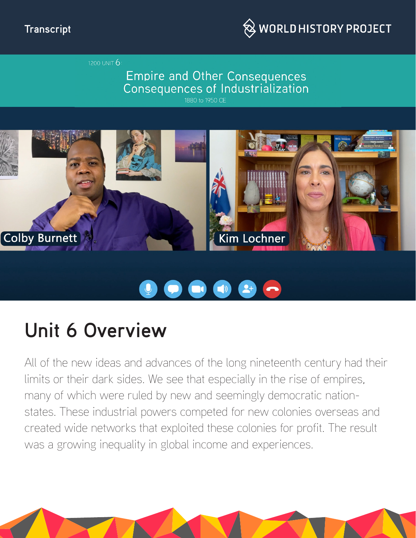

1200 UNIT  $6:$ 

### **Empire and Other Consequences** Consequences of Industrialization





# 

# **Unit 6 Overview**

All of the new ideas and advances of the long nineteenth century had their limits or their dark sides. We see that especially in the rise of empires, many of which were ruled by new and seemingly democratic nationstates. These industrial powers competed for new colonies overseas and created wide networks that exploited these colonies for profit. The result was a growing inequality in global income and experiences.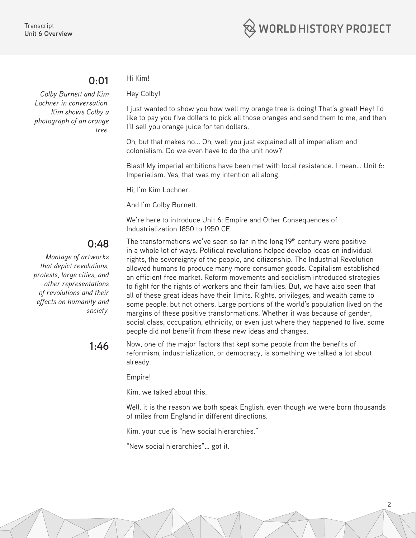#### **0:01**

*Colby Burnett and Kim Lochner in conversation. Kim shows Colby a photograph of an orange tree.* 

## Hi Kim!

Hey Colby!

I just wanted to show you how well my orange tree is doing! That's great! Hey! I'd like to pay you five dollars to pick all those oranges and send them to me, and then I'll sell you orange juice for ten dollars.

Oh, but that makes no... Oh, well you just explained all of imperialism and colonialism. Do we even have to do the unit now?

Blast! My imperial ambitions have been met with local resistance. I mean… Unit 6: Imperialism. Yes, that was my intention all along.

Hi, I'm Kim Lochner.

And I'm Colby Burnett.

We're here to introduce Unit 6: Empire and Other Consequences of Industrialization 1850 to 1950 CE.

### **0:48**

*Montage of artworks that depict revolutions, protests, large cities, and other representations of revolutions and their effects on humanity and society.* The transformations we've seen so far in the long  $19<sup>th</sup>$  century were positive in a whole lot of ways. Political revolutions helped develop ideas on individual rights, the sovereignty of the people, and citizenship. The Industrial Revolution allowed humans to produce many more consumer goods. Capitalism established an efficient free market. Reform movements and socialism introduced strategies to fight for the rights of workers and their families. But, we have also seen that all of these great ideas have their limits. Rights, privileges, and wealth came to some people, but not others. Large portions of the world's population lived on the margins of these positive transformations. Whether it was because of gender, social class, occupation, ethnicity, or even just where they happened to live, some people did not benefit from these new ideas and changes.

1.46 Now, one of the major factors that kept some people from the benefits of reformism, industrialization, or democracy, is something we talked a lot about already.

Empire!

Kim, we talked about this.

Well, it is the reason we both speak English, even though we were born thousands of miles from England in different directions.

2

Kim, your cue is "new social hierarchies."

"New social hierarchies"… got it.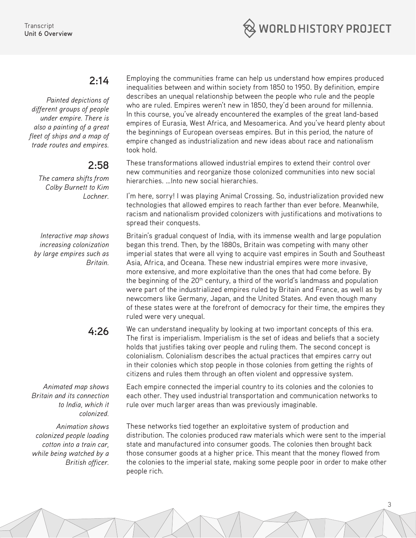

#### **2:14**

*Painted depictions of different groups of people under empire. There is also a painting of a great fleet of ships and a map of trade routes and empires.*

#### **2:58**

*The camera shifts from Colby Burnett to Kim Lochner.* 

*Interactive map shows increasing colonization by large empires such as Britain.*

*Animated map shows Britain and its connection to India, which it colonized.*

*Animation shows colonized people loading cotton into a train car, while being watched by a British officer.*

Employing the communities frame can help us understand how empires produced inequalities between and within society from 1850 to 1950. By definition, empire describes an unequal relationship between the people who rule and the people who are ruled. Empires weren't new in 1850, they'd been around for millennia. In this course, you've already encountered the examples of the great land-based empires of Eurasia, West Africa, and Mesoamerica. And you've heard plenty about the beginnings of European overseas empires. But in this period, the nature of empire changed as industrialization and new ideas about race and nationalism took hold.

These transformations allowed industrial empires to extend their control over new communities and reorganize those colonized communities into new social hierarchies. …Into new social hierarchies.

I'm here, sorry! I was playing Animal Crossing. So, industrialization provided new technologies that allowed empires to reach farther than ever before. Meanwhile, racism and nationalism provided colonizers with justifications and motivations to spread their conquests.

Britain's gradual conquest of India, with its immense wealth and large population began this trend. Then, by the 1880s, Britain was competing with many other imperial states that were all vying to acquire vast empires in South and Southeast Asia, Africa, and Oceana. These new industrial empires were more invasive, more extensive, and more exploitative than the ones that had come before. By the beginning of the 20<sup>th</sup> century, a third of the world's landmass and population were part of the industrialized empires ruled by Britain and France, as well as by newcomers like Germany, Japan, and the United States. And even though many of these states were at the forefront of democracy for their time, the empires they ruled were very unequal.

**4:26** We can understand inequality by looking at two important concepts of this era. The first is imperialism. Imperialism is the set of ideas and beliefs that a society holds that justifies taking over people and ruling them. The second concept is colonialism. Colonialism describes the actual practices that empires carry out in their colonies which stop people in those colonies from getting the rights of citizens and rules them through an often violent and oppressive system.

> Each empire connected the imperial country to its colonies and the colonies to each other. They used industrial transportation and communication networks to rule over much larger areas than was previously imaginable.

These networks tied together an exploitative system of production and distribution. The colonies produced raw materials which were sent to the imperial state and manufactured into consumer goods. The colonies then brought back those consumer goods at a higher price. This meant that the money flowed from the colonies to the imperial state, making some people poor in order to make other people rich.

3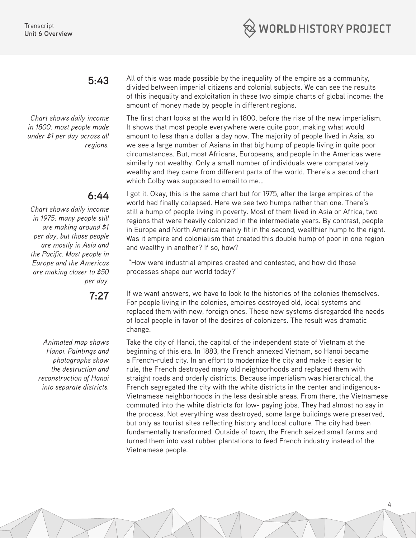

*Chart shows daily income in 1800: most people made under \$1 per day across all regions.*

### **6:44**

*Chart shows daily income in 1975: many people still are making around \$1 per day, but those people are mostly in Asia and the Pacific. Most people in Europe and the Americas are making closer to \$50 per day.* 

*Animated map shows Hanoi. Paintings and photographs show the destruction and reconstruction of Hanoi into separate districts.*

**5:43** All of this was made possible by the inequality of the empire as a community, divided between imperial citizens and colonial subjects. We can see the results of this inequality and exploitation in these two simple charts of global income: the amount of money made by people in different regions.

> The first chart looks at the world in 1800, before the rise of the new imperialism. It shows that most people everywhere were quite poor, making what would amount to less than a dollar a day now. The majority of people lived in Asia, so we see a large number of Asians in that big hump of people living in quite poor circumstances. But, most Africans, Europeans, and people in the Americas were similarly not wealthy. Only a small number of individuals were comparatively wealthy and they came from different parts of the world. There's a second chart which Colby was supposed to email to me…

I got it. Okay, this is the same chart but for 1975, after the large empires of the world had finally collapsed. Here we see two humps rather than one. There's still a hump of people living in poverty. Most of them lived in Asia or Africa, two regions that were heavily colonized in the intermediate years. By contrast, people in Europe and North America mainly fit in the second, wealthier hump to the right. Was it empire and colonialism that created this double hump of poor in one region and wealthy in another? If so, how?

 "How were industrial empires created and contested, and how did those processes shape our world today?"

**7:27** If we want answers, we have to look to the histories of the colonies themselves. For people living in the colonies, empires destroyed old, local systems and replaced them with new, foreign ones. These new systems disregarded the needs of local people in favor of the desires of colonizers. The result was dramatic change.

> Take the city of Hanoi, the capital of the independent state of Vietnam at the beginning of this era. In 1883, the French annexed Vietnam, so Hanoi became a French-ruled city. In an effort to modernize the city and make it easier to rule, the French destroyed many old neighborhoods and replaced them with straight roads and orderly districts. Because imperialism was hierarchical, the French segregated the city with the white districts in the center and indigenous-Vietnamese neighborhoods in the less desirable areas. From there, the Vietnamese commuted into the white districts for low- paying jobs. They had almost no say in the process. Not everything was destroyed, some large buildings were preserved, but only as tourist sites reflecting history and local culture. The city had been fundamentally transformed. Outside of town, the French seized small farms and turned them into vast rubber plantations to feed French industry instead of the Vietnamese people.

> > 4